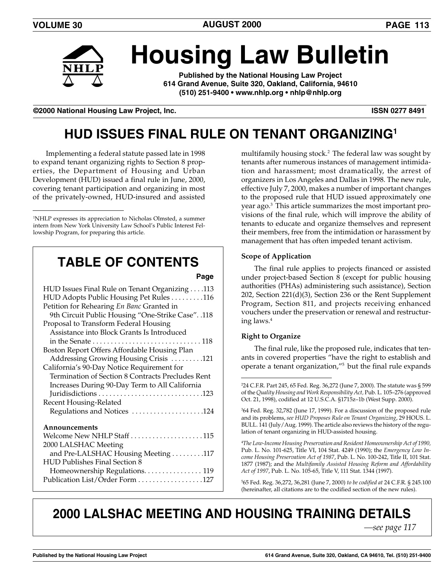

# **Housing Law Bulletin**

**Published by the National Housing Law Project 614 Grand Avenue, Suite 320, Oakland, California, 94610 (510) 251-9400 • www.nhlp.org • nhlp@nhlp.org**

**©2000 National Housing Law Project, Inc. ISSN 0277 8491**

# **HUD ISSUES FINAL RULE ON TENANT ORGANIZING1**

Implementing a federal statute passed late in 1998 to expand tenant organizing rights to Section 8 properties, the Department of Housing and Urban Development (HUD) issued a final rule in June, 2000, covering tenant participation and organizing in most of the privately-owned, HUD-insured and assisted

# **TABLE OF CONTENTS**

**Page**

| HUD Issues Final Rule on Tenant Organizing 113     |
|----------------------------------------------------|
| HUD Adopts Public Housing Pet Rules 116            |
| Petition for Rehearing En Banc Granted in          |
| 9th Circuit Public Housing "One-Strike Case". .118 |
| Proposal to Transform Federal Housing              |
| Assistance into Block Grants Is Introduced         |
|                                                    |
| Boston Report Offers Affordable Housing Plan       |
| Addressing Growing Housing Crisis 121              |
| California's 90-Day Notice Requirement for         |
| Termination of Section 8 Contracts Precludes Rent  |
| Increases During 90-Day Term to All California     |
|                                                    |
| Recent Housing-Related                             |
| Regulations and Notices 124                        |
|                                                    |
| Announcements                                      |
| Welcome New NHLP Staff 115                         |
| 2000 LALSHAC Meeting                               |
| and Pre-LALSHAC Housing Meeting 117                |
| <b>HUD Publishes Final Section 8</b>               |
| Homeownership Regulations. 119                     |
| Publication List/Order Form 127                    |

multifamily housing stock.2 The federal law was sought by tenants after numerous instances of management intimidation and harassment; most dramatically, the arrest of organizers in Los Angeles and Dallas in 1998. The new rule, effective July 7, 2000, makes a number of important changes to the proposed rule that HUD issued approximately one year ago.3 This article summarizes the most important provisions of the final rule, which will improve the ability of tenants to educate and organize themselves and represent their members, free from the intimidation or harassment by management that has often impeded tenant activism.

#### **Scope of Application**

The final rule applies to projects financed or assisted under project-based Section 8 (except for public housing authorities (PHAs) administering such assistance), Section 202, Section 221(d)(3), Section 236 or the Rent Supplement Program, Section 811, and projects receiving enhanced vouchers under the preservation or renewal and restructuring laws.4

#### **Right to Organize**

The final rule, like the proposed rule, indicates that tenants in covered properties "have the right to establish and operate a tenant organization,"5 but the final rule expands

4 *The Low-Income Housing Preservation and Resident Homeownership Act of 1990,* Pub. L. No. 101-625, Title VI, 104 Stat. 4249 (1990); the *Emergency Low Income Housing Preservation Act of 1987*, Pub. L. No. 100-242, Title II, 101 Stat. 1877 (1987); and the *Multifamily Assisted Housing Reform and Affordability Act of 1997*, Pub. L. No. 105-65, Title V, 111 Stat. 1344 (1997).

5 65 Fed. Reg. 36,272, 36,281 (June 7, 2000) *to be codified at* 24 C.F.R. § 245.100 (hereinafter, all citations are to the codified section of the new rules).

## **2000 LALSHAC MEETING AND HOUSING TRAINING DETAILS**

*—see page 117*

<sup>1</sup> NHLP expresses its appreciation to Nicholas Olmsted, a summer intern from New York University Law School's Public Interest Fellowship Program, for preparing this article.

<sup>2</sup> 24 C.F.R. Part 245, 65 Fed. Reg. 36,272 (June 7, 2000). The statute was § 599 of the *Quality Housing and Work Responsibility Act,* Pub. L. 105–276 (approved Oct. 21, 1998), codified at 12 U.S.C.A. §1715z–1b (West Supp. 2000).

<sup>3</sup> 64 Fed. Reg. 32,782 (June 17, 1999). For a discussion of the proposed rule and its problems, *see HUD Proposes Rule on Tenant Organizing*, 29 HOUS. L. BULL. 141 (July/Aug. 1999). The article also reviews the history of the regulation of tenant organizing in HUD-assisted housing.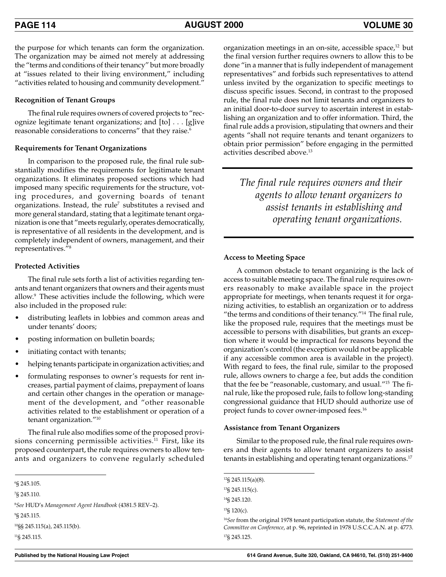the purpose for which tenants can form the organization. The organization may be aimed not merely at addressing the "terms and conditions of their tenancy" but more broadly at "issues related to their living environment," including "activities related to housing and community development."

#### **Recognition of Tenant Groups**

The final rule requires owners of covered projects to "recognize legitimate tenant organizations; and [to] . . . [g]ive reasonable considerations to concerns" that they raise.<sup>6</sup>

#### **Requirements for Tenant Organizations**

In comparison to the proposed rule, the final rule substantially modifies the requirements for legitimate tenant organizations. It eliminates proposed sections which had imposed many specific requirements for the structure, voting procedures, and governing boards of tenant organizations. Instead, the rule<sup> $7$ </sup> substitutes a revised and more general standard, stating that a legitimate tenant organization is one that "meets regularly, operates democratically, is representative of all residents in the development, and is completely independent of owners, management, and their representatives."8

#### **Protected Activities**

The final rule sets forth a list of activities regarding tenants and tenant organizers that owners and their agents must allow. $9$  These activities include the following, which were also included in the proposed rule:

- distributing leaflets in lobbies and common areas and under tenants' doors;
- posting information on bulletin boards;
- initiating contact with tenants;
- helping tenants participate in organization activities; and
- formulating responses to owner's requests for rent increases, partial payment of claims, prepayment of loans and certain other changes in the operation or management of the development, and "other reasonable activities related to the establishment or operation of a tenant organization."10

The final rule also modifies some of the proposed provisions concerning permissible activities. $11$  First, like its proposed counterpart, the rule requires owners to allow tenants and organizers to convene regularly scheduled

8 *See* HUD's *Management Agent Handbook* (4381.5 REV–2). 9 § 245.115.

10§§ 245.115(a), 245.115(b).

11§ 245.115.

organization meetings in an on-site, accessible space,<sup>12</sup> but the final version further requires owners to allow this to be done "in a manner that is fully independent of management representatives" and forbids such representatives to attend unless invited by the organization to specific meetings to discuss specific issues. Second, in contrast to the proposed rule, the final rule does not limit tenants and organizers to an initial door-to-door survey to ascertain interest in establishing an organization and to offer information. Third, the final rule adds a provision, stipulating that owners and their agents "shall not require tenants and tenant organizers to obtain prior permission" before engaging in the permitted activities described above.<sup>13</sup>

*The final rule requires owners and their agents to allow tenant organizers to assist tenants in establishing and operating tenant organizations.*

#### **Access to Meeting Space**

A common obstacle to tenant organizing is the lack of access to suitable meeting space. The final rule requires owners reasonably to make available space in the project appropriate for meetings, when tenants request it for organizing activities, to establish an organization or to address "the terms and conditions of their tenancy."14 The final rule, like the proposed rule, requires that the meetings must be accessible to persons with disabilities, but grants an exception where it would be impractical for reasons beyond the organization's control (the exception would not be applicable if any accessible common area is available in the project). With regard to fees, the final rule, similar to the proposed rule, allows owners to charge a fee, but adds the condition that the fee be "reasonable, customary, and usual."15 The final rule, like the proposed rule, fails to follow long-standing congressional guidance that HUD should authorize use of project funds to cover owner-imposed fees.16

#### **Assistance from Tenant Organizers**

Similar to the proposed rule, the final rule requires owners and their agents to allow tenant organizers to assist tenants in establishing and operating tenant organizations.<sup>17</sup>

13§ 245.115(c).

 $15\frac{15}{9}$  120(c).

<sup>6</sup> § 245.105.

<sup>7</sup> § 245.110.

<sup>12§ 245.115(</sup>a)(8).

<sup>14§ 245.120.</sup>

<sup>16</sup>*See* from the original 1978 tenant participation statute, the *Statement of the Committee on Conference*, at p. 96, reprinted in 1978 U.S.C.C.A.N. at p. 4773. 17§ 245.125.